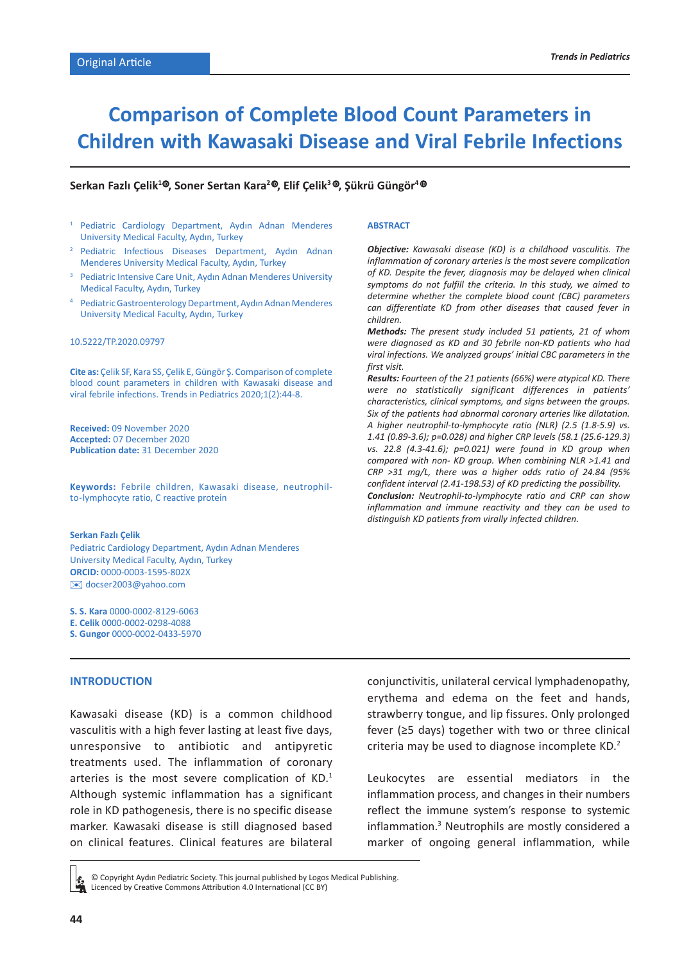# **Comparison of Complete Blood Count Parameters in Children with Kawasaki Disease and Viral Febrile Infections**

## $\mathsf{Serkan}$  Fazlı Çelik $^{1\textcircled{\textcircled{\textcirc}}}$ , Soner Sertan Kara $^{2\textcircled{\textcircled{\textcirc}}}$ , Elif Çelik $^{3\textcircled{\textcircled{\textcirc}}}$ , Şükrü Güngör $^{4\textcircled{\textcircled{\textcirc}}}$

- <sup>1</sup> Pediatric Cardiology Department, Aydın Adnan Menderes University Medical Faculty, Aydın, Turkey
- <sup>2</sup> Pediatric Infectious Diseases Department, Aydın Adnan Menderes University Medical Faculty, Aydın, Turkey
- <sup>3</sup> Pediatric Intensive Care Unit, Aydın Adnan Menderes University Medical Faculty, Aydın, Turkey
- <sup>4</sup> Pediatric Gastroenterology Department, Aydın Adnan Menderes University Medical Faculty, Aydın, Turkey

#### 10.5222/TP.2020.09797

**Cite as:** Çelik SF, Kara SS, Çelik E, Güngör Ş. Comparison of complete blood count parameters in children with Kawasaki disease and viral febrile infections. Trends in Pediatrics 2020;1(2):44-8.

**Received:** 09 November 2020 **Accepted:** 07 December 2020 **Publication date:** 31 December 2020

**Keywords:** Febrile children, Kawasaki disease, neutrophilto-lymphocyte ratio, C reactive protein

#### **Serkan Fazlı Çelik**

Pediatric Cardiology Department, Aydın Adnan Menderes University Medical Faculty, Aydın, Turkey **ORCID:** 0000-0003-1595-802X ✉docser2003@yahoo.com

**S. S. Kara** 0000-0002-8129-6063 **E. Celik** 0000-0002-0298-4088

**S. Gungor** 0000-0002-0433-5970

#### **ABSTRACT**

*Objective: Kawasaki disease (KD) is a childhood vasculitis. The inflammation of coronary arteries is the most severe complication of KD. Despite the fever, diagnosis may be delayed when clinical symptoms do not fulfill the criteria. In this study, we aimed to determine whether the complete blood count (CBC) parameters can differentiate KD from other diseases that caused fever in children.*

*Methods: The present study included 51 patients, 21 of whom were diagnosed as KD and 30 febrile non-KD patients who had viral infections. We analyzed groups' initial CBC parameters in the first visit.*

*Results: Fourteen of the 21 patients (66%) were atypical KD. There were no statistically significant differences in patients' characteristics, clinical symptoms, and signs between the groups. Six of the patients had abnormal coronary arteries like dilatation. A higher neutrophil-to-lymphocyte ratio (NLR) (2.5 (1.8-5.9) vs. 1.41 (0.89-3.6); p=0.028) and higher CRP levels (58.1 (25.6-129.3) vs. 22.8 (4.3-41.6); p=0.021) were found in KD group when compared with non- KD group. When combining NLR >1.41 and CRP >31 mg/L, there was a higher odds ratio of 24.84 (95% confident interval (2.41-198.53) of KD predicting the possibility. Conclusion: Neutrophil-to-lymphocyte ratio and CRP can show inflammation and immune reactivity and they can be used to distinguish KD patients from virally infected children.*

## **INTRODUCTION**

Kawasaki disease (KD) is a common childhood vasculitis with a high fever lasting at least five days, unresponsive to antibiotic and antipyretic treatments used. The inflammation of coronary arteries is the most severe complication of KD.<sup>1</sup> Although systemic inflammation has a significant role in KD pathogenesis, there is no specific disease marker. Kawasaki disease is still diagnosed based on clinical features. Clinical features are bilateral conjunctivitis, unilateral cervical lymphadenopathy, erythema and edema on the feet and hands, strawberry tongue, and lip fissures. Only prolonged fever (≥5 days) together with two or three clinical criteria may be used to diagnose incomplete KD.<sup>2</sup>

Leukocytes are essential mediators in the inflammation process, and changes in their numbers reflect the immune system's response to systemic inflammation.<sup>3</sup> Neutrophils are mostly considered a marker of ongoing general inflammation, while

© Copyright Aydın Pediatric Society. This journal published by Logos Medical Publishing. Licenced by Creative Commons Attribution 4.0 International (CC BY)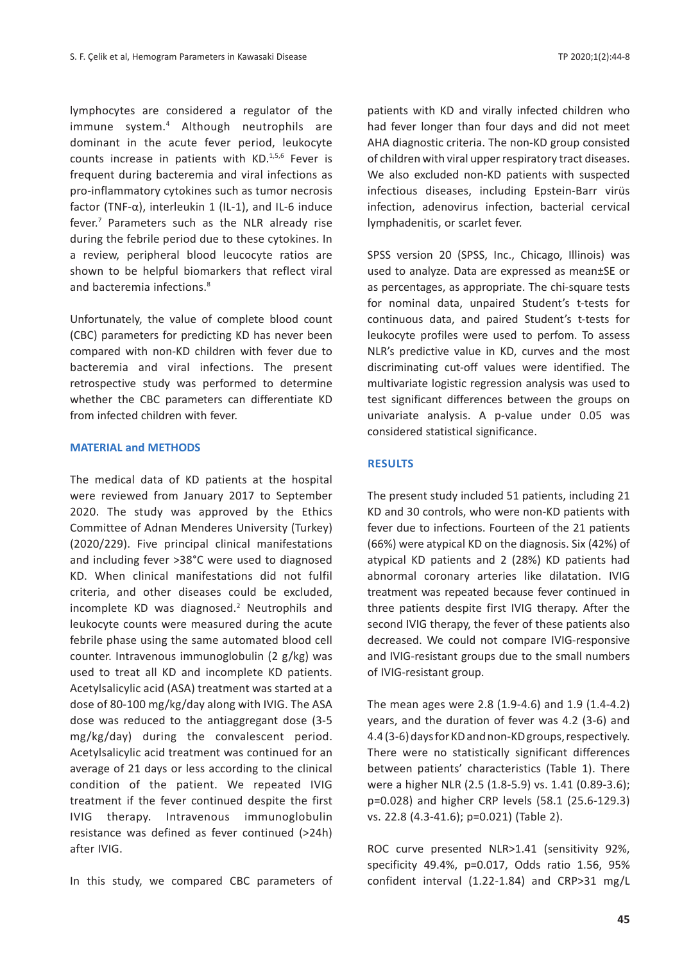lymphocytes are considered a regulator of the immune system.<sup>4</sup> Although neutrophils are dominant in the acute fever period, leukocyte counts increase in patients with KD.<sup>1,5,6</sup> Fever is frequent during bacteremia and viral infections as pro-inflammatory cytokines such as tumor necrosis factor (TNF- $\alpha$ ), interleukin 1 (IL-1), and IL-6 induce fever.<sup>7</sup> Parameters such as the NLR already rise during the febrile period due to these cytokines. In a review, peripheral blood leucocyte ratios are shown to be helpful biomarkers that reflect viral and bacteremia infections.<sup>8</sup>

Unfortunately, the value of complete blood count (CBC) parameters for predicting KD has never been compared with non-KD children with fever due to bacteremia and viral infections. The present retrospective study was performed to determine whether the CBC parameters can differentiate KD from infected children with fever.

## **MATERIAL and METHODS**

The medical data of KD patients at the hospital were reviewed from January 2017 to September 2020. The study was approved by the Ethics Committee of Adnan Menderes University (Turkey) (2020/229). Five principal clinical manifestations and including fever >38°C were used to diagnosed KD. When clinical manifestations did not fulfil criteria, and other diseases could be excluded, incomplete KD was diagnosed.<sup>2</sup> Neutrophils and leukocyte counts were measured during the acute febrile phase using the same automated blood cell counter. Intravenous immunoglobulin (2 g/kg) was used to treat all KD and incomplete KD patients. Acetylsalicylic acid (ASA) treatment was started at a dose of 80-100 mg/kg/day along with IVIG. The ASA dose was reduced to the antiaggregant dose (3-5 mg/kg/day) during the convalescent period. Acetylsalicylic acid treatment was continued for an average of 21 days or less according to the clinical condition of the patient. We repeated IVIG treatment if the fever continued despite the first IVIG therapy. Intravenous immunoglobulin resistance was defined as fever continued (>24h) after IVIG.

In this study, we compared CBC parameters of

patients with KD and virally infected children who had fever longer than four days and did not meet AHA diagnostic criteria. The non-KD group consisted of children with viral upper respiratory tract diseases. We also excluded non-KD patients with suspected infectious diseases, including Epstein-Barr virüs infection, adenovirus infection, bacterial cervical lymphadenitis, or scarlet fever.

SPSS version 20 (SPSS, Inc., Chicago, Illinois) was used to analyze. Data are expressed as mean±SE or as percentages, as appropriate. The chi-square tests for nominal data, unpaired Student's t-tests for continuous data, and paired Student's t-tests for leukocyte profiles were used to perfom. To assess NLR's predictive value in KD, curves and the most discriminating cut-off values were identified. The multivariate logistic regression analysis was used to test significant differences between the groups on univariate analysis. A p-value under 0.05 was considered statistical significance.

# **Results**

The present study included 51 patients, including 21 KD and 30 controls, who were non-KD patients with fever due to infections. Fourteen of the 21 patients (66%) were atypical KD on the diagnosis. Six (42%) of atypical KD patients and 2 (28%) KD patients had abnormal coronary arteries like dilatation. IVIG treatment was repeated because fever continued in three patients despite first IVIG therapy. After the second IVIG therapy, the fever of these patients also decreased. We could not compare IVIG-responsive and IVIG-resistant groups due to the small numbers of IVIG-resistant group.

The mean ages were 2.8 (1.9-4.6) and 1.9 (1.4-4.2) years, and the duration of fever was 4.2 (3-6) and 4.4 (3-6) days for KD and non-KD groups, respectively. There were no statistically significant differences between patients' characteristics (Table 1). There were a higher NLR (2.5 (1.8-5.9) vs. 1.41 (0.89-3.6); p=0.028) and higher CRP levels (58.1 (25.6-129.3) vs. 22.8 (4.3-41.6); p=0.021) (Table 2).

ROC curve presented NLR>1.41 (sensitivity 92%, specificity 49.4%, p=0.017, Odds ratio 1.56, 95% confident interval (1.22-1.84) and CRP>31 mg/L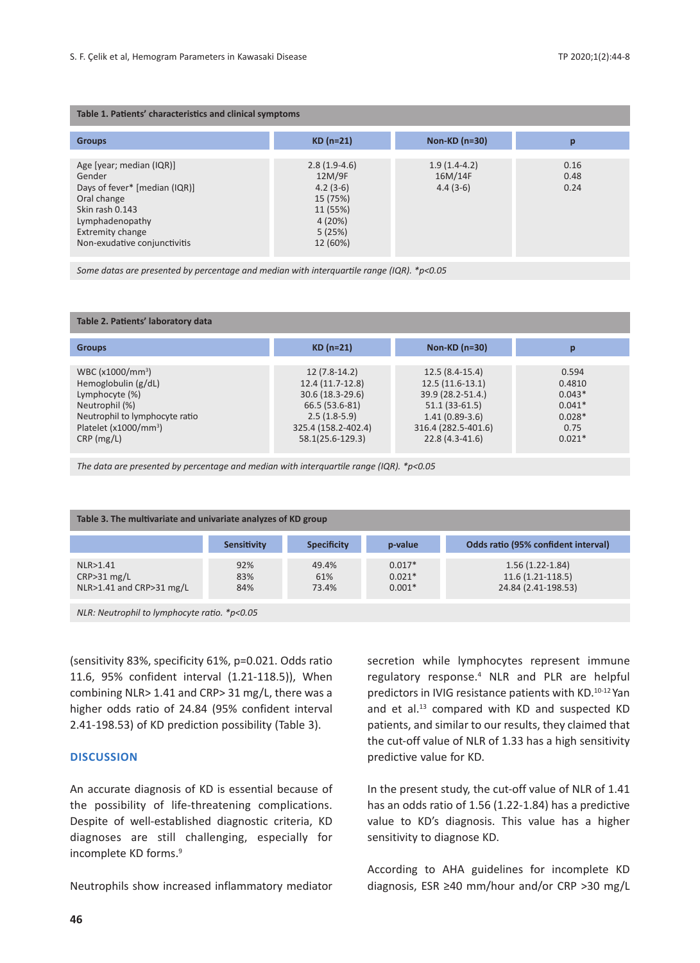| Table 1. Patients' characteristics and clinical symptoms                                                                                                                     |                                                                                                |                                         |                      |  |  |  |
|------------------------------------------------------------------------------------------------------------------------------------------------------------------------------|------------------------------------------------------------------------------------------------|-----------------------------------------|----------------------|--|--|--|
| <b>Groups</b>                                                                                                                                                                | $KD(n=21)$                                                                                     | Non-KD (n=30)                           | р                    |  |  |  |
| Age [year; median (IQR)]<br>Gender<br>Days of fever* [median (IQR)]<br>Oral change<br>Skin rash 0.143<br>Lymphadenopathy<br>Extremity change<br>Non-exudative conjunctivitis | $2.8(1.9-4.6)$<br>12M/9F<br>$4.2(3-6)$<br>15 (75%)<br>11 (55%)<br>4(20%)<br>5(25%)<br>12 (60%) | $1.9(1.4-4.2)$<br>16M/14F<br>$4.4(3-6)$ | 0.16<br>0.48<br>0.24 |  |  |  |

*Some datas are presented by percentage and median with interquartile range (IQR). \*p<0.05*

#### **Table 2. Patients' laboratory data**

| <b>Groups</b>                     | $KD(n=21)$          | Non-KD $(n=30)$     |          |
|-----------------------------------|---------------------|---------------------|----------|
|                                   |                     |                     |          |
| WBC (x1000/mm <sup>3</sup> )      | $12(7.8-14.2)$      | $12.5(8.4-15.4)$    | 0.594    |
| Hemoglobulin (g/dL)               | 12.4 (11.7-12.8)    | $12.5(11.6-13.1)$   | 0.4810   |
| Lymphocyte (%)                    | 30.6 (18.3-29.6)    | 39.9 (28.2-51.4.)   | $0.043*$ |
| Neutrophil (%)                    | 66.5 (53.6-81)      | $51.1(33-61.5)$     | $0.041*$ |
| Neutrophil to lymphocyte ratio    | $2.5(1.8-5.9)$      | $1.41(0.89-3.6)$    | $0.028*$ |
| Platelet (x1000/mm <sup>3</sup> ) | 325.4 (158.2-402.4) | 316.4 (282.5-401.6) | 0.75     |
| $CRP$ (mg/L)                      | 58.1(25.6-129.3)    | 22.8 (4.3-41.6)     | $0.021*$ |
|                                   |                     |                     |          |

*The data are presented by percentage and median with interquartile range (IQR). \*p<0.05* 

| Table 3. The multivariate and univariate analyzes of KD group |                    |                       |                                  |                                                                  |  |  |
|---------------------------------------------------------------|--------------------|-----------------------|----------------------------------|------------------------------------------------------------------|--|--|
|                                                               | <b>Sensitivity</b> | <b>Specificity</b>    | p-value                          | Odds ratio (95% confident interval)                              |  |  |
| NLR>1.41<br>CRP > 31 mg/L<br>NLR>1.41 and CRP>31 mg/L         | 92%<br>83%<br>84%  | 49.4%<br>61%<br>73.4% | $0.017*$<br>$0.021*$<br>$0.001*$ | $1.56(1.22 - 1.84)$<br>$11.6(1.21-118.5)$<br>24.84 (2.41-198.53) |  |  |

*NLR: Neutrophil to lymphocyte ratio. \*p<0.05*

(sensitivity 83%, specificity 61%, p=0.021. Odds ratio 11.6, 95% confident interval (1.21-118.5)), When combining NLR> 1.41 and CRP> 31 mg/L, there was a higher odds ratio of 24.84 (95% confident interval 2.41-198.53) of KD prediction possibility (Table 3).

### **Discussion**

An accurate diagnosis of KD is essential because of the possibility of life-threatening complications. Despite of well-established diagnostic criteria, KD diagnoses are still challenging, especially for incomplete KD forms.<sup>9</sup>

Neutrophils show increased inflammatory mediator

secretion while lymphocytes represent immune regulatory response.<sup>4</sup> NLR and PLR are helpful predictors in IVIG resistance patients with KD.10-12 Yan and et al.<sup>13</sup> compared with KD and suspected KD patients, and similar to our results, they claimed that the cut-off value of NLR of 1.33 has a high sensitivity predictive value for KD.

In the present study, the cut-off value of NLR of 1.41 has an odds ratio of 1.56 (1.22-1.84) has a predictive value to KD's diagnosis. This value has a higher sensitivity to diagnose KD.

According to AHA guidelines for incomplete KD diagnosis, ESR ≥40 mm/hour and/or CRP >30 mg/L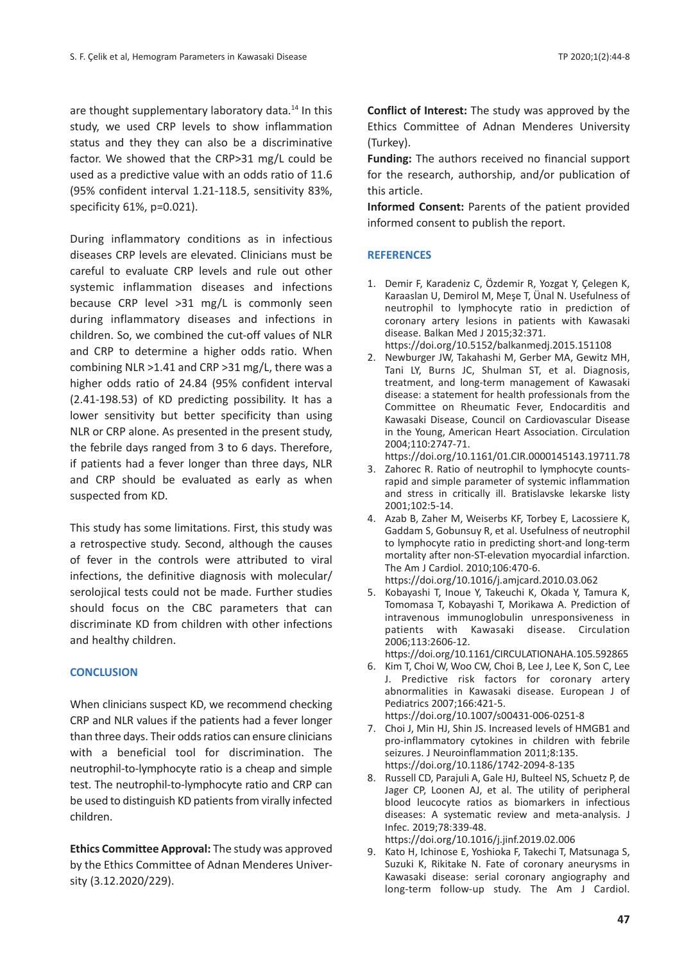are thought supplementary laboratory data.<sup>14</sup> In this study, we used CRP levels to show inflammation status and they they can also be a discriminative factor. We showed that the CRP>31 mg/L could be used as a predictive value with an odds ratio of 11.6 (95% confident interval 1.21-118.5, sensitivity 83%, specificity 61%, p=0.021).

During inflammatory conditions as in infectious diseases CRP levels are elevated. Clinicians must be careful to evaluate CRP levels and rule out other systemic inflammation diseases and infections because CRP level >31 mg/L is commonly seen during inflammatory diseases and infections in children. So, we combined the cut-off values of NLR and CRP to determine a higher odds ratio. When combining NLR >1.41 and CRP >31 mg/L, there was a higher odds ratio of 24.84 (95% confident interval (2.41-198.53) of KD predicting possibility. It has a lower sensitivity but better specificity than using NLR or CRP alone. As presented in the present study, the febrile days ranged from 3 to 6 days. Therefore, if patients had a fever longer than three days, NLR and CRP should be evaluated as early as when suspected from KD.

This study has some limitations. First, this study was a retrospective study. Second, although the causes of fever in the controls were attributed to viral infections, the definitive diagnosis with molecular/ serolojical tests could not be made. Further studies should focus on the CBC parameters that can discriminate KD from children with other infections and healthy children.

## **CONCLUSION**

When clinicians suspect KD, we recommend checking CRP and NLR values if the patients had a fever longer than three days. Their odds ratios can ensure clinicians with a beneficial tool for discrimination. The neutrophil-to-lymphocyte ratio is a cheap and simple test. The neutrophil-to-lymphocyte ratio and CRP can be used to distinguish KD patients from virally infected children.

**Ethics Committee Approval:** The study was approved by the Ethics Committee of Adnan Menderes University (3.12.2020/229).

**Conflict of Interest:** The study was approved by the Ethics Committee of Adnan Menderes University (Turkey).

**Funding:** The authors received no financial support for the research, authorship, and/or publication of this article.

**Informed Consent:** Parents of the patient provided informed consent to publish the report.

## **REFERENCES**

- 1. Demir F, Karadeniz C, Özdemir R, Yozgat Y, Çelegen K, Karaaslan U, Demirol M, Meşe T, Ünal N. Usefulness of neutrophil to lymphocyte ratio in prediction of coronary artery lesions in patients with Kawasaki disease. Balkan Med J 2015;32:371.
	- https://doi.org/10.5152/balkanmedj.2015.151108
- 2. Newburger JW, Takahashi M, Gerber MA, Gewitz MH, Tani LY, Burns JC, Shulman ST, et al. Diagnosis, treatment, and long-term management of Kawasaki disease: a statement for health professionals from the Committee on Rheumatic Fever, Endocarditis and Kawasaki Disease, Council on Cardiovascular Disease in the Young, American Heart Association. Circulation 2004;110:2747-71.

https://doi.org/10.1161/01.CIR.0000145143.19711.78

- 3. Zahorec R. Ratio of neutrophil to lymphocyte countsrapid and simple parameter of systemic inflammation and stress in critically ill. Bratislavske lekarske listy 2001;102:5-14.
- 4. Azab B, Zaher M, Weiserbs KF, Torbey E, Lacossiere K, Gaddam S, Gobunsuy R, et al. Usefulness of neutrophil to lymphocyte ratio in predicting short-and long-term mortality after non-ST-elevation myocardial infarction. The Am J Cardiol. 2010;106:470-6. https://doi.org/10.1016/j.amjcard.2010.03.062
- 5. Kobayashi T, Inoue Y, Takeuchi K, Okada Y, Tamura K, Tomomasa T, Kobayashi T, Morikawa A. Prediction of intravenous immunoglobulin unresponsiveness in patients with Kawasaki disease. Circulation 2006;113:2606-12.

https://doi.org/10.1161/CIRCULATIONAHA.105.592865

6. Kim T, Choi W, Woo CW, Choi B, Lee J, Lee K, Son C, Lee J. Predictive risk factors for coronary artery abnormalities in Kawasaki disease. European J of Pediatrics 2007;166:421-5.

https://doi.org/10.1007/s00431-006-0251-8

- 7. Choi J, Min HJ, Shin JS. Increased levels of HMGB1 and pro-inflammatory cytokines in children with febrile seizures. J Neuroinflammation 2011;8:135. https://doi.org/10.1186/1742-2094-8-135
- 8. Russell CD, Parajuli A, Gale HJ, Bulteel NS, Schuetz P, de Jager CP, Loonen AJ, et al. The utility of peripheral blood leucocyte ratios as biomarkers in infectious diseases: A systematic review and meta-analysis. J Infec. 2019;78:339-48.

https://doi.org/10.1016/j.jinf.2019.02.006

9. Kato H, Ichinose E, Yoshioka F, Takechi T, Matsunaga S, Suzuki K, Rikitake N. Fate of coronary aneurysms in Kawasaki disease: serial coronary angiography and long-term follow-up study. The Am J Cardiol.